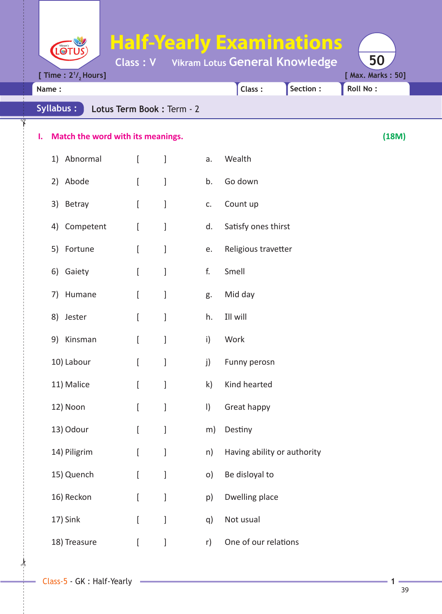**Half-Yearly Examinations** LOTUS **Class : V Vikram Lotus General Knowledge 50 [Time : 2<sup>1</sup>/<sub>2</sub> Hours] [ Max. Marks : 50] Name : Class : Section : Roll No : Syllabus : Lotus Term Book :** Term - 2 **I. Match the word with its meanings. (18M)** 1) Abnormal [ ] a. Wealth 2) Abode [ ] b. Go down 3) Betray [ ] c. Count up 4) Competent [ ] d. Satisfy ones thirst 5) Fortune [ ] e. Religious travetter 6) Gaiety [ ] f. Smell 7) Humane [ ] g. Mid day 8) Jester [ ] h. Ill will 9) Kinsman [ ] i) Work 10) Labour [ ] j) Funny perosn 11) Malice [ ] k) Kind hearted 12) Noon [ ] l) Great happy 13) Odour [ ] m) Destiny

- 14) Piligrim [ ] n) Having ability or authority
- 15) Quench [ ] o) Be disloyal to
- 16) Reckon [ ] p) Dwelling place
- 17) Sink [ ] q) Not usual
- 18) Treasure [ ] r) One of our relations

 $\star$ 

✁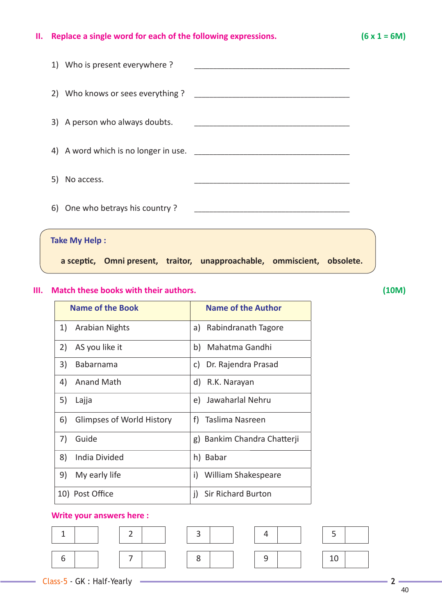## **II. Replace a single word for each of the following expressions. (6 x 1 = 6M)**

| 1) Who is present everywhere?   |                                                                                           |  |
|---------------------------------|-------------------------------------------------------------------------------------------|--|
|                                 |                                                                                           |  |
| 3) A person who always doubts.  | the control of the control of the control of the control of the control of the control of |  |
|                                 |                                                                                           |  |
| 5) No access.                   |                                                                                           |  |
| 6) One who betrays his country? |                                                                                           |  |
| <b>Take My Help:</b>            |                                                                                           |  |

 **a scepti c, Omni present, traitor, unapproachable, ommiscient, obsolete.**

## **III. Match these books with their authors. (10M)**

| <b>Name of the Book</b>         | <b>Name of the Author</b>   |
|---------------------------------|-----------------------------|
| 1)<br><b>Arabian Nights</b>     | Rabindranath Tagore<br>a)   |
| AS you like it<br>2)            | b) Mahatma Gandhi           |
| 3)<br>Babarnama                 | Dr. Rajendra Prasad<br>C)   |
| 4)<br>Anand Math                | d) R.K. Narayan             |
| 5)<br>Lajja                     | e) Jawaharlal Nehru         |
| 6)<br>Glimpses of World History | f) Taslima Nasreen          |
| 7)<br>Guide                     | g) Bankim Chandra Chatterji |
| India Divided<br>8)             | h) Babar                    |
| 9)<br>My early life             | William Shakespeare<br>i)   |
| 10) Post Office                 | Sir Richard Burton<br>i)    |

## **Write your answers here :**

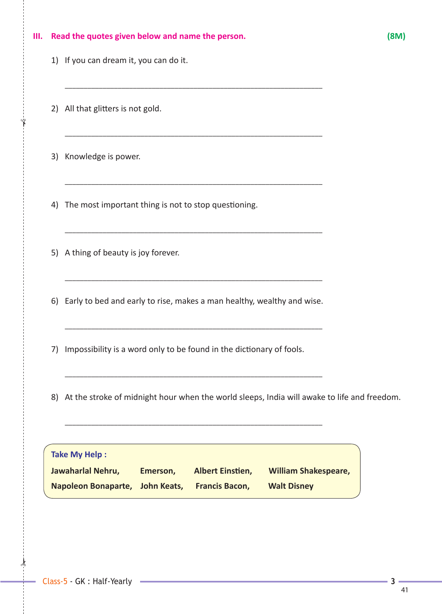|    |                                                                                                                                                                               | 18M. |
|----|-------------------------------------------------------------------------------------------------------------------------------------------------------------------------------|------|
|    | 1) If you can dream it, you can do it.                                                                                                                                        |      |
|    | 2) All that glitters is not gold.                                                                                                                                             |      |
|    | 3) Knowledge is power.                                                                                                                                                        |      |
| 4) | <u> 1989 - Johann Barn, mars ann an t-Amhain an t-Amhain an t-Amhain an t-Amhain an t-Amhain an t-Amhain an t-Amh</u><br>The most important thing is not to stop questioning. |      |
|    | 5) A thing of beauty is joy forever.                                                                                                                                          |      |
|    | 6) Early to bed and early to rise, makes a man healthy, wealthy and wise.                                                                                                     |      |
| 7) | Impossibility is a word only to be found in the dictionary of fools.                                                                                                          |      |
| 8) | At the stroke of midnight hour when the world sleeps, India will awake to life and freedom.                                                                                   |      |
|    | <b>Take My Help:</b><br>Jawaharlal Nehru,<br><b>Albert Einstien,</b><br><b>William Shakespeare,</b><br>Emerson,                                                               |      |

 $\frac{1}{2}$ 

✁